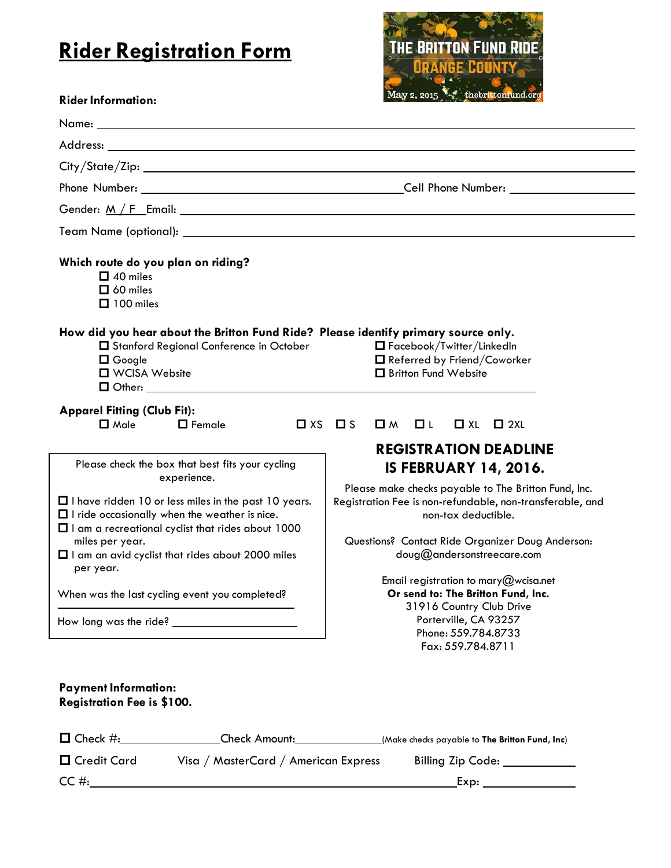## **Rider Registration Form**



| How did you hear about the Britton Fund Ride? Please identify primary source only.<br>$\Box$ Facebook/Twitter/LinkedIn<br>□ Referred by Friend/Coworker<br><b>O</b> Britton Fund Website                                   |
|----------------------------------------------------------------------------------------------------------------------------------------------------------------------------------------------------------------------------|
| $\Box$ M $\Box$ L<br>$\Box$ XL<br>$\square$ 2XL                                                                                                                                                                            |
| <b>REGISTRATION DEADLINE</b><br><b>IS FEBRUARY 14, 2016.</b>                                                                                                                                                               |
| Please make checks payable to The Britton Fund, Inc.<br>Registration Fee is non-refundable, non-transferable, and<br>non-tax deductible.<br>Questions? Contact Ride Organizer Doug Anderson:<br>doug@andersonstreecare.com |
| Email registration to mary@wcisa.net<br>Or send to: The Britton Fund, Inc.<br>31916 Country Club Drive                                                                                                                     |
| Porterville, CA 93257<br>Phone: 559.784.8733<br>Fax: 559.784.8711                                                                                                                                                          |
|                                                                                                                                                                                                                            |

| $\Box$ Check #: | <b>Check Amount:</b>                 | (Make checks payable to <b>The Britton Fund, Inc</b> ) |
|-----------------|--------------------------------------|--------------------------------------------------------|
| □ Credit Card   | Visa / MasterCard / American Express | Billing Zip Code:                                      |
| CC #:           |                                      | Exp:                                                   |